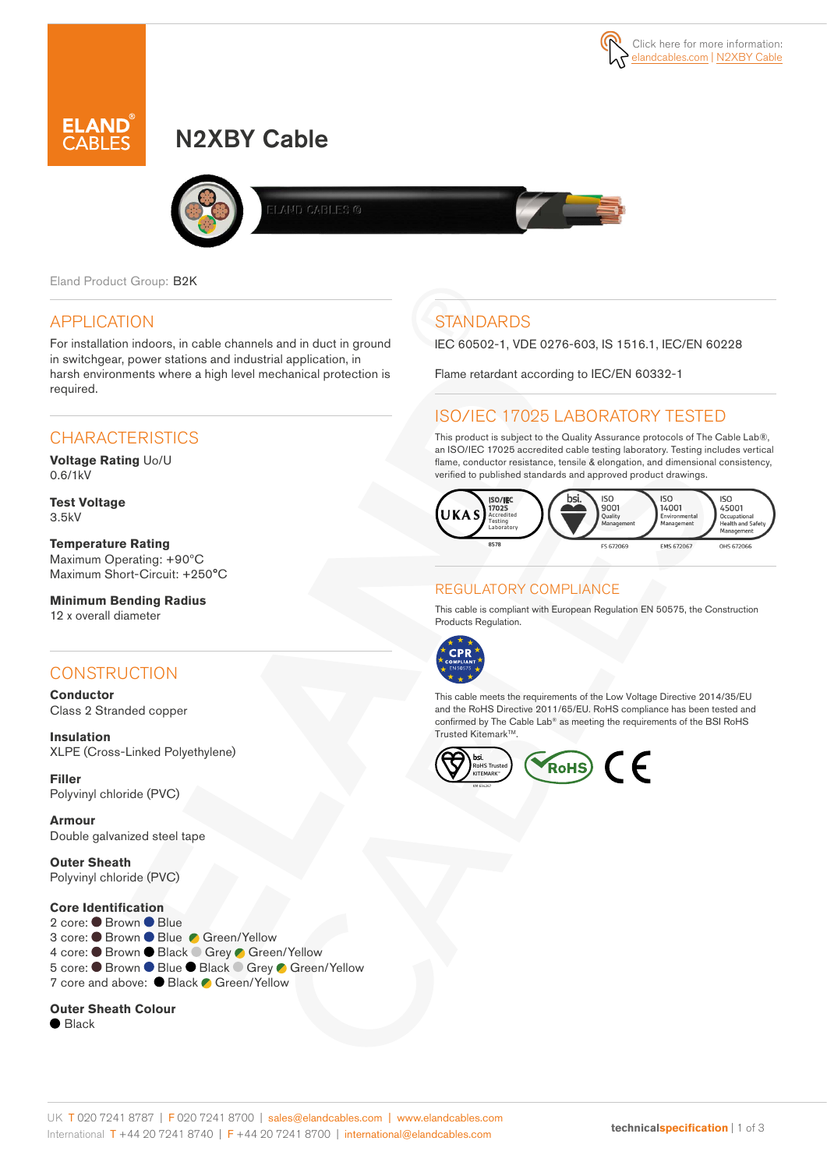



# N2XBY Cable



AND CABLES @

Eland Product Group: B2K

## APPLICATION

For installation indoors, in cable channels and in duct in ground in switchgear, power stations and industrial application, in harsh environments where a high level mechanical protection is required.

## **CHARACTERISTICS**

**Voltage Rating** Uo/U 0.6/1kV

**Test Voltage** 3.5kV

**Temperature Rating** Maximum Operating: +90ºC Maximum Short-Circuit: +250°C

**Minimum Bending Radius**  12 x overall diameter

## **CONSTRUCTION**

**Conductor** Class 2 Stranded copper

**Insulation** XLPE (Cross-Linked Polyethylene)

**Filler**  Polyvinyl chloride (PVC)

**Armour**  Double galvanized steel tape

**Outer Sheath** Polyvinyl chloride (PVC)

#### **Core Identification**

2 core: ● Brown ● Blue 3 core: ● Brown ● Blue ● Green/Yellow 4 core: ● Brown ● Black ● Grey ● Green/Yellow 5 core: ● Brown ● Blue ● Black ● Grey ● Green/Yellow 7 core and above: ● Black ● Green/Yellow

#### **Outer Sheath Colour**

 $\bullet$  Black

## **STANDARDS**

IEC 60502-1, VDE 0276-603, IS 1516.1, IEC/EN 60228

Flame retardant according to IEC/EN 60332-1

## ISO/IEC 17025 LABORATORY TESTED

This product is subject to the Quality Assurance protocols of The Cable Lab®, an ISO/IEC 17025 accredited cable testing laboratory. Testing includes vertical flame, conductor resistance, tensile & elongation, and dimensional consistency, verified to published standards and approved product drawings.



### REGULATORY COMPLIANCE

This cable is compliant with European Regulation EN 50575, the Construction Products Regulation.



This cable meets the requirements of the Low Voltage Directive 2014/35/EU and the RoHS Directive 2011/65/EU. RoHS compliance has been tested and confirmed by The Cable Lab® as meeting the requirements of the BSI RoHS Trusted Kitemark™.

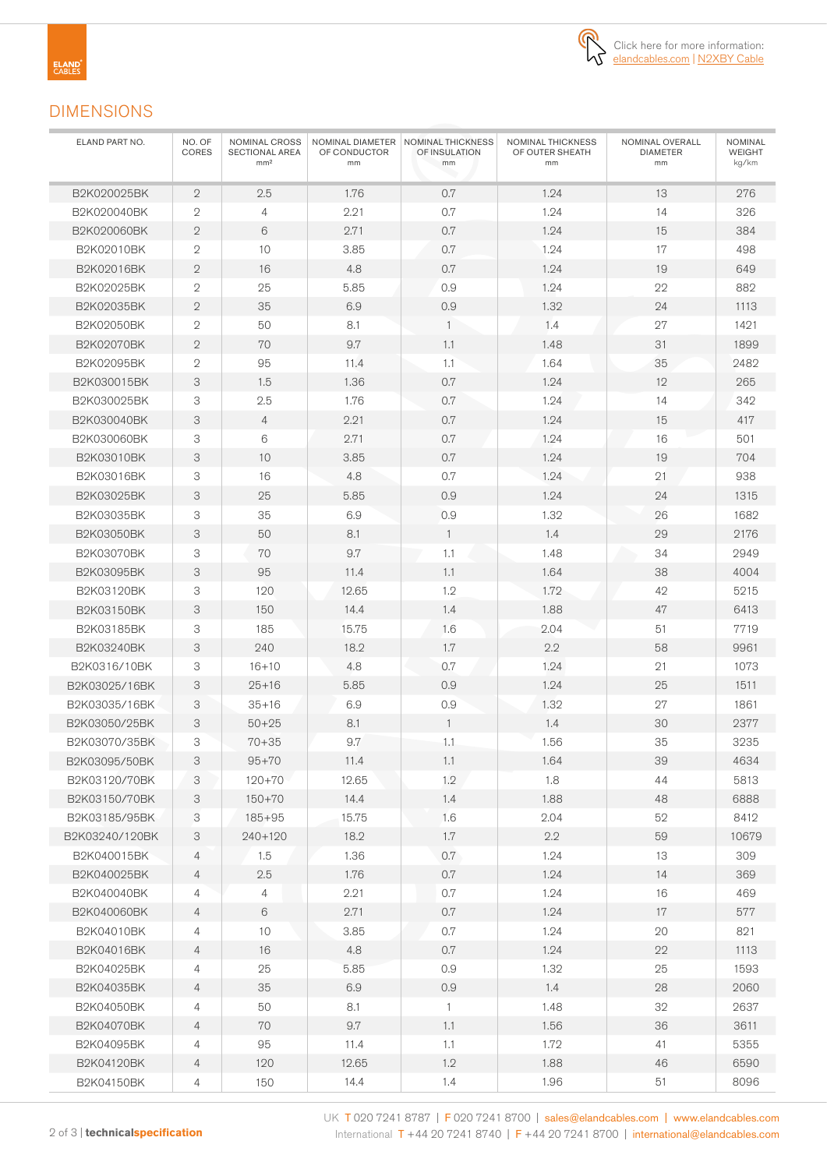

### DIMENSIONS

| ELAND PART NO. | NO. OF<br>CORES | NOMINAL CROSS<br>SECTIONAL AREA<br>mm <sup>2</sup> | OF CONDUCTOR<br>mm | NOMINAL DIAMETER   NOMINAL THICKNESS<br>OF INSULATION<br>mm | NOMINAL THICKNESS<br>OF OUTER SHEATH<br>mm | NOMINAL OVERALL<br><b>DIAMETER</b><br>mm | NOMINAL<br><b>WEIGHT</b><br>kg/km |
|----------------|-----------------|----------------------------------------------------|--------------------|-------------------------------------------------------------|--------------------------------------------|------------------------------------------|-----------------------------------|
| B2K020025BK    | $\mathbf{2}$    | 2.5                                                | 1.76               | 0.7                                                         | 1.24                                       | 13                                       | 276                               |
| B2K020040BK    | $\overline{2}$  | 4                                                  | 2.21               | 0.7                                                         | 1.24                                       | 14                                       | 326                               |
| B2K020060BK    | $\mathbf{2}$    | 6                                                  | 2.71               | 0.7                                                         | 1.24                                       | 15                                       | 384                               |
| B2K02010BK     | $\mathbf{2}$    | 10                                                 | 3.85               | 0.7                                                         | 1.24                                       | 17                                       | 498                               |
| B2K02016BK     | $\mathbf{2}$    | 16                                                 | 4.8                | 0.7                                                         | 1.24                                       | 19                                       | 649                               |
| B2K02025BK     | $\overline{2}$  | 25                                                 | 5.85               | 0.9                                                         | 1.24                                       | 22                                       | 882                               |
| B2K02035BK     | $\mathbf{2}$    | 35                                                 | 6.9                | 0.9                                                         | 1.32                                       | 24                                       | 1113                              |
| B2K02050BK     | $\mathbf{2}$    | 50                                                 | 8.1                | $\mathbf{1}$                                                | 1.4                                        | 27                                       | 1421                              |
| B2K02070BK     | $\mathbf{2}$    | 70                                                 | 9.7                | 1.1                                                         | 1.48                                       | 31                                       | 1899                              |
| B2K02095BK     | $\overline{2}$  | 95                                                 | 11.4               | 1.1                                                         | 1.64                                       | 35                                       | 2482                              |
| B2K030015BK    | 3               | 1.5                                                | 1.36               | 0.7                                                         | 1.24                                       | 12                                       | 265                               |
| B2K030025BK    | 3               | 2.5                                                | 1.76               | 0.7                                                         | 1.24                                       | 14                                       | 342                               |
| B2K030040BK    | 3               | 4                                                  | 2.21               | 0.7                                                         | 1.24                                       | 15                                       | 417                               |
| B2K030060BK    | 3               | 6                                                  | 2.71               | 0.7                                                         | 1.24                                       | 16                                       | 501                               |
| B2K03010BK     | 3               | 10                                                 | 3.85               | 0.7                                                         | 1.24                                       | 19                                       | 704                               |
| B2K03016BK     | 3               | 16                                                 | 4.8                | 0.7                                                         | 1.24                                       | 21                                       | 938                               |
| B2K03025BK     | 3               | 25                                                 | 5.85               | 0.9                                                         | 1.24                                       | 24                                       | 1315                              |
| B2K03035BK     | 3               | 35                                                 | 6.9                | 0.9                                                         | 1.32                                       | 26                                       | 1682                              |
| B2K03050BK     | 3               | 50                                                 | 8.1                | $\mathbf{1}$                                                | 1.4                                        | 29                                       | 2176                              |
| B2K03070BK     | 3               | 70                                                 | 9.7                | 1.1                                                         | 1.48                                       | 34                                       | 2949                              |
| B2K03095BK     | 3               | 95                                                 | 11.4               | 1.1                                                         | 1.64                                       | 38                                       | 4004                              |
| B2K03120BK     | 3               | 120                                                | 12.65              | 1.2                                                         | 1.72                                       | 42                                       | 5215                              |
| B2K03150BK     | 3               | 150                                                | 14.4               | 1.4                                                         | 1.88                                       | 47                                       | 6413                              |
| B2K03185BK     | 3               | 185                                                | 15.75              | 1.6                                                         | 2.04                                       | 51                                       | 7719                              |
| B2K03240BK     | 3               | 240                                                | 18.2               | 1.7                                                         | 2.2                                        | 58                                       | 9961                              |
| B2K0316/10BK   | 3               | $16 + 10$                                          | 4.8                | 0.7                                                         | 1.24                                       | 21                                       | 1073                              |
| B2K03025/16BK  | 3               | $25 + 16$                                          | 5.85               | 0.9                                                         | 1.24                                       | 25                                       | 1511                              |
| B2K03035/16BK  | 3               | $35 + 16$                                          | 6.9                | 0.9                                                         | 1.32                                       | 27                                       | 1861                              |
| B2K03050/25BK  | 3               | $50 + 25$                                          | 8.1                | $\mathbf{1}$                                                | 1.4                                        | 30                                       | 2377                              |
| B2K03070/35BK  | 3               | $70 + 35$                                          | 9.7                | 1.1                                                         | 1.56                                       | 35                                       | 3235                              |
| B2K03095/50BK  | 3               | $95 + 70$                                          | 11.4               | 1.1                                                         | 1.64                                       | 39                                       | 4634                              |
| B2K03120/70BK  | 3               | $120 + 70$                                         | 12.65              | 1.2                                                         | 1.8                                        | 44                                       | 5813                              |
| B2K03150/70BK  | 3               | $150 + 70$                                         | 14.4               | 1.4                                                         | 1.88                                       | 48                                       | 6888                              |
| B2K03185/95BK  | 3               | $185 + 95$                                         | 15.75              | 1.6                                                         | 2.04                                       | 52                                       | 8412                              |
| B2K03240/120BK | 3               | 240+120                                            | 18.2               | 1.7                                                         | 2.2                                        | 59                                       | 10679                             |
| B2K040015BK    | 4               | 1.5                                                | 1.36               | 0.7                                                         | 1.24                                       | 13                                       | 309                               |
| B2K040025BK    | 4               | 2.5                                                | 1.76               | 0.7                                                         | 1.24                                       | 14                                       | 369                               |
| B2K040040BK    | $\overline{4}$  | 4                                                  | 2.21               | $0.7\,$                                                     | 1.24                                       | 16                                       | 469                               |
| B2K040060BK    | $\overline{4}$  | $6\,$                                              | 2.71               | 0.7                                                         | 1.24                                       | 17                                       | 577                               |
| B2K04010BK     | 4               | 10                                                 | 3.85               | $0.7\,$                                                     | 1.24                                       | 20                                       | 821                               |
| B2K04016BK     | $\overline{4}$  | 16                                                 | 4.8                | 0.7                                                         | 1.24                                       | 22                                       | 1113                              |
| B2K04025BK     | 4               | 25                                                 | 5.85               | 0.9                                                         | 1.32                                       | 25                                       | 1593                              |
| B2K04035BK     | 4               | 35                                                 | 6.9                | 0.9                                                         | 1.4                                        | 28                                       | 2060                              |
| B2K04050BK     | 4               | 50                                                 | 8.1                | $\overline{1}$                                              | 1.48                                       | 32                                       | 2637                              |
| B2K04070BK     | $\overline{4}$  | 70                                                 | 9.7                | 1.1                                                         | 1.56                                       | 36                                       | 3611                              |
| B2K04095BK     | 4               | 95                                                 | 11.4               | 1.1                                                         | 1.72                                       | 41                                       | 5355                              |
| B2K04120BK     | 4               | 120                                                | 12.65              | 1.2                                                         | 1.88                                       | 46                                       | 6590                              |
| B2K04150BK     | 4               | 150                                                | 14.4               | 1.4                                                         | 1.96                                       | 51                                       | 8096                              |
|                |                 |                                                    |                    |                                                             |                                            |                                          |                                   |

UK T 020 7241 8787 | F 020 7241 8700 | sales@elandcables.com | www.elandcables.com 2 of 3 | **technicalspecification** International T +44 20 7241 8740 | F +44 20 7241 8700 | international@elandcables.com